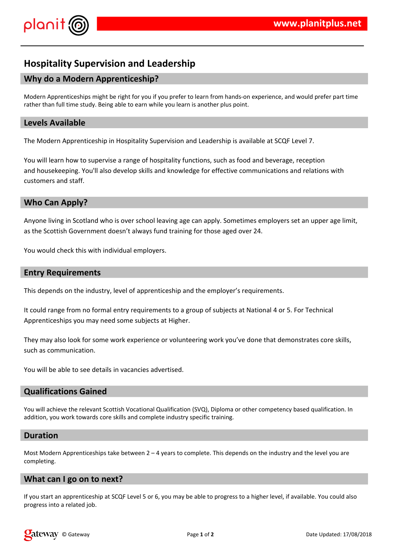

# **Hospitality Supervision and Leadership**

# **Why do a Modern Apprenticeship?**

Modern Apprenticeships might be right for you if you prefer to learn from hands-on experience, and would prefer part time rather than full time study. Being able to earn while you learn is another plus point.

### **Levels Available**

The Modern Apprenticeship in Hospitality Supervision and Leadership is available at SCQF Level 7.

You will learn how to supervise a range of hospitality functions, such as food and beverage, reception and housekeeping. You'll also develop skills and knowledge for effective communications and relations with customers and staff.

## **Who Can Apply?**

Anyone living in Scotland who is over school leaving age can apply. Sometimes employers set an upper age limit, as the Scottish Government doesn't always fund training for those aged over 24.

You would check this with individual employers.

#### **Entry Requirements**

This depends on the industry, level of apprenticeship and the employer's requirements.

It could range from no formal entry requirements to a group of subjects at National 4 or 5. For Technical Apprenticeships you may need some subjects at Higher.

They may also look for some work experience or volunteering work you've done that demonstrates core skills, such as communication.

You will be able to see details in vacancies advertised.

#### **Qualifications Gained**

You will achieve the relevant Scottish Vocational Qualification (SVQ), Diploma or other competency based qualification. In addition, you work towards core skills and complete industry specific training.

#### **Duration**

Most Modern Apprenticeships take between  $2 - 4$  years to complete. This depends on the industry and the level you are completing.

#### **What can I go on to next?**

If you start an apprenticeship at SCQF Level 5 or 6, you may be able to progress to a higher level, if available. You could also progress into a related job.